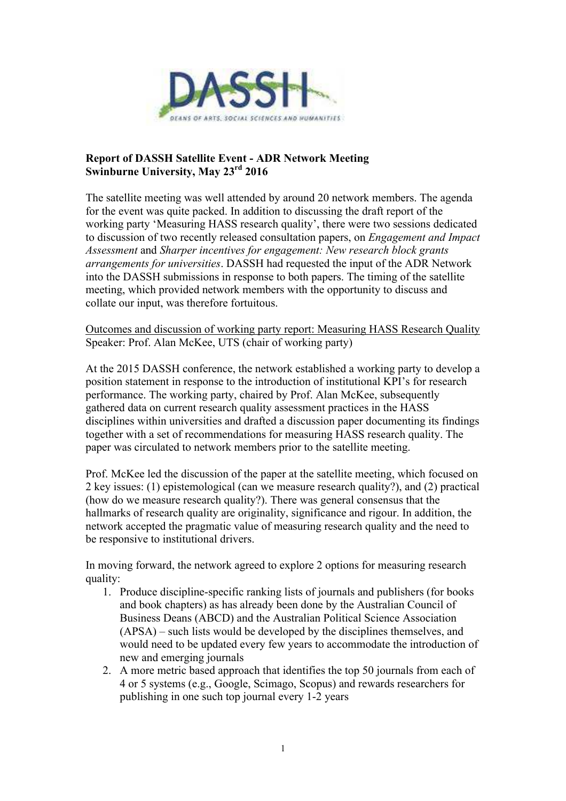

## **Report of DASSH Satellite Event - ADR Network Meeting Swinburne University, May 23rd 2016**

The satellite meeting was well attended by around 20 network members. The agenda for the event was quite packed. In addition to discussing the draft report of the working party 'Measuring HASS research quality', there were two sessions dedicated to discussion of two recently released consultation papers, on *Engagement and Impact Assessment* and *Sharper incentives for engagement: New research block grants arrangements for universities*. DASSH had requested the input of the ADR Network into the DASSH submissions in response to both papers. The timing of the satellite meeting, which provided network members with the opportunity to discuss and collate our input, was therefore fortuitous.

Outcomes and discussion of working party report: Measuring HASS Research Quality Speaker: Prof. Alan McKee, UTS (chair of working party)

At the 2015 DASSH conference, the network established a working party to develop a position statement in response to the introduction of institutional KPI's for research performance. The working party, chaired by Prof. Alan McKee, subsequently gathered data on current research quality assessment practices in the HASS disciplines within universities and drafted a discussion paper documenting its findings together with a set of recommendations for measuring HASS research quality. The paper was circulated to network members prior to the satellite meeting.

Prof. McKee led the discussion of the paper at the satellite meeting, which focused on 2 key issues: (1) epistemological (can we measure research quality?), and (2) practical (how do we measure research quality?). There was general consensus that the hallmarks of research quality are originality, significance and rigour. In addition, the network accepted the pragmatic value of measuring research quality and the need to be responsive to institutional drivers.

In moving forward, the network agreed to explore 2 options for measuring research quality:

- 1. Produce discipline-specific ranking lists of journals and publishers (for books and book chapters) as has already been done by the Australian Council of Business Deans (ABCD) and the Australian Political Science Association (APSA) – such lists would be developed by the disciplines themselves, and would need to be updated every few years to accommodate the introduction of new and emerging journals
- 2. A more metric based approach that identifies the top 50 journals from each of 4 or 5 systems (e.g., Google, Scimago, Scopus) and rewards researchers for publishing in one such top journal every 1-2 years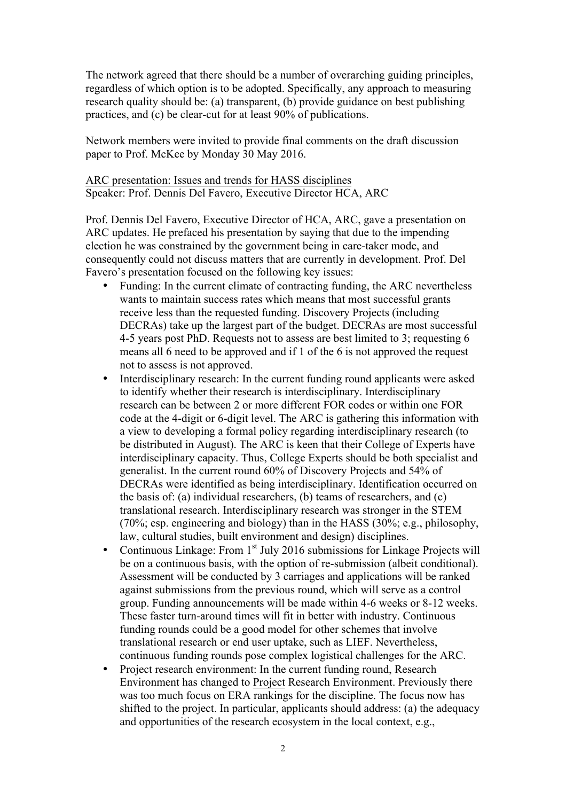The network agreed that there should be a number of overarching guiding principles, regardless of which option is to be adopted. Specifically, any approach to measuring research quality should be: (a) transparent, (b) provide guidance on best publishing practices, and (c) be clear-cut for at least 90% of publications.

Network members were invited to provide final comments on the draft discussion paper to Prof. McKee by Monday 30 May 2016.

ARC presentation: Issues and trends for HASS disciplines Speaker: Prof. Dennis Del Favero, Executive Director HCA, ARC

Prof. Dennis Del Favero, Executive Director of HCA, ARC, gave a presentation on ARC updates. He prefaced his presentation by saying that due to the impending election he was constrained by the government being in care-taker mode, and consequently could not discuss matters that are currently in development. Prof. Del Favero's presentation focused on the following key issues:

- Funding: In the current climate of contracting funding, the ARC nevertheless wants to maintain success rates which means that most successful grants receive less than the requested funding. Discovery Projects (including DECRAs) take up the largest part of the budget. DECRAs are most successful 4-5 years post PhD. Requests not to assess are best limited to 3; requesting 6 means all 6 need to be approved and if 1 of the 6 is not approved the request not to assess is not approved.
- Interdisciplinary research: In the current funding round applicants were asked to identify whether their research is interdisciplinary. Interdisciplinary research can be between 2 or more different FOR codes or within one FOR code at the 4-digit or 6-digit level. The ARC is gathering this information with a view to developing a formal policy regarding interdisciplinary research (to be distributed in August). The ARC is keen that their College of Experts have interdisciplinary capacity. Thus, College Experts should be both specialist and generalist. In the current round 60% of Discovery Projects and 54% of DECRAs were identified as being interdisciplinary. Identification occurred on the basis of: (a) individual researchers, (b) teams of researchers, and (c) translational research. Interdisciplinary research was stronger in the STEM (70%; esp. engineering and biology) than in the HASS (30%; e.g., philosophy, law, cultural studies, built environment and design) disciplines.
- Continuous Linkage: From  $1<sup>st</sup>$  July 2016 submissions for Linkage Projects will be on a continuous basis, with the option of re-submission (albeit conditional). Assessment will be conducted by 3 carriages and applications will be ranked against submissions from the previous round, which will serve as a control group. Funding announcements will be made within 4-6 weeks or 8-12 weeks. These faster turn-around times will fit in better with industry. Continuous funding rounds could be a good model for other schemes that involve translational research or end user uptake, such as LIEF. Nevertheless, continuous funding rounds pose complex logistical challenges for the ARC.
- Project research environment: In the current funding round, Research Environment has changed to Project Research Environment. Previously there was too much focus on ERA rankings for the discipline. The focus now has shifted to the project. In particular, applicants should address: (a) the adequacy and opportunities of the research ecosystem in the local context, e.g.,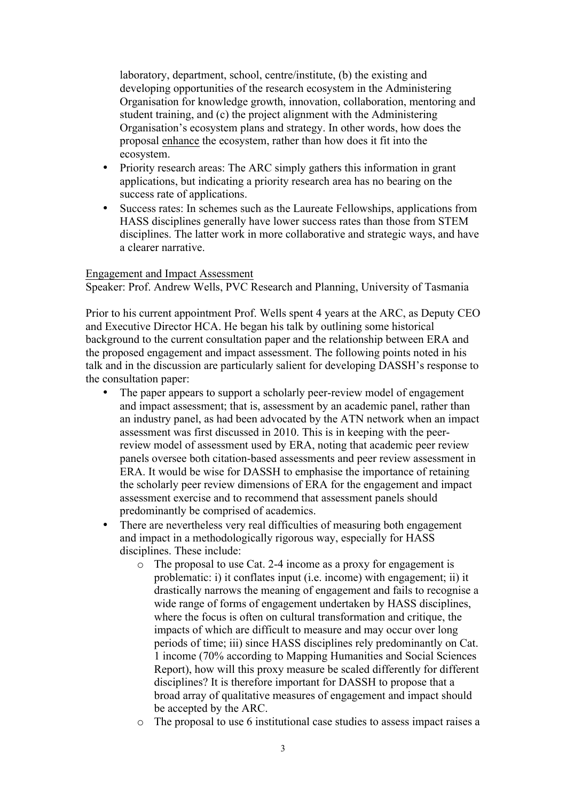laboratory, department, school, centre/institute, (b) the existing and developing opportunities of the research ecosystem in the Administering Organisation for knowledge growth, innovation, collaboration, mentoring and student training, and (c) the project alignment with the Administering Organisation's ecosystem plans and strategy. In other words, how does the proposal enhance the ecosystem, rather than how does it fit into the ecosystem.

- Priority research areas: The ARC simply gathers this information in grant applications, but indicating a priority research area has no bearing on the success rate of applications.
- Success rates: In schemes such as the Laureate Fellowships, applications from HASS disciplines generally have lower success rates than those from STEM disciplines. The latter work in more collaborative and strategic ways, and have a clearer narrative.

## Engagement and Impact Assessment

Speaker: Prof. Andrew Wells, PVC Research and Planning, University of Tasmania

Prior to his current appointment Prof. Wells spent 4 years at the ARC, as Deputy CEO and Executive Director HCA. He began his talk by outlining some historical background to the current consultation paper and the relationship between ERA and the proposed engagement and impact assessment. The following points noted in his talk and in the discussion are particularly salient for developing DASSH's response to the consultation paper:

- The paper appears to support a scholarly peer-review model of engagement and impact assessment; that is, assessment by an academic panel, rather than an industry panel, as had been advocated by the ATN network when an impact assessment was first discussed in 2010. This is in keeping with the peerreview model of assessment used by ERA, noting that academic peer review panels oversee both citation-based assessments and peer review assessment in ERA. It would be wise for DASSH to emphasise the importance of retaining the scholarly peer review dimensions of ERA for the engagement and impact assessment exercise and to recommend that assessment panels should predominantly be comprised of academics.
- There are nevertheless very real difficulties of measuring both engagement and impact in a methodologically rigorous way, especially for HASS disciplines. These include:
	- o The proposal to use Cat. 2-4 income as a proxy for engagement is problematic: i) it conflates input (i.e. income) with engagement; ii) it drastically narrows the meaning of engagement and fails to recognise a wide range of forms of engagement undertaken by HASS disciplines, where the focus is often on cultural transformation and critique, the impacts of which are difficult to measure and may occur over long periods of time; iii) since HASS disciplines rely predominantly on Cat. 1 income (70% according to Mapping Humanities and Social Sciences Report), how will this proxy measure be scaled differently for different disciplines? It is therefore important for DASSH to propose that a broad array of qualitative measures of engagement and impact should be accepted by the ARC.
	- o The proposal to use 6 institutional case studies to assess impact raises a